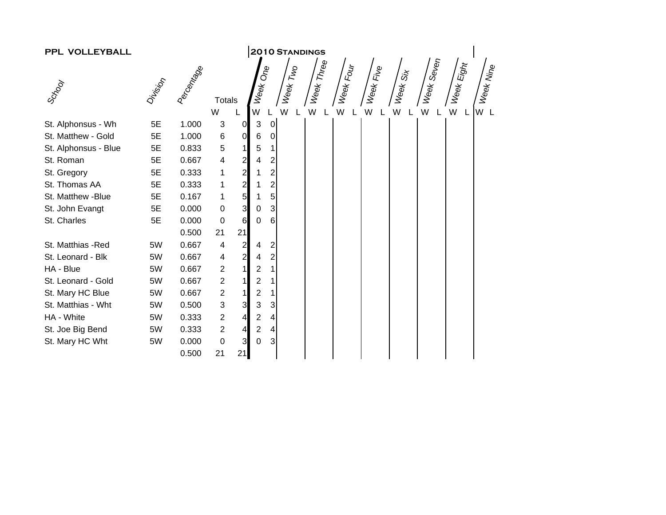| PPL VOLLEYBALL       | <b>2010 STANDINGS</b> |                   |                |                |                           |                 |          |              |           |           |                     |            |                                 |           |
|----------------------|-----------------------|-------------------|----------------|----------------|---------------------------|-----------------|----------|--------------|-----------|-----------|---------------------|------------|---------------------------------|-----------|
|                      |                       | <b>Paccontage</b> |                |                | Week One                  |                 | Week Two | : Week Three | Week Four | Week Five | Week <sub>Six</sub> | Week Seven | $\leq W_{\Theta\Theta k}$ Eight | Week Nine |
| Scrool               | Division              |                   | <b>Totals</b>  |                |                           |                 |          |              |           |           |                     |            |                                 |           |
|                      |                       |                   | W              |                | W                         |                 | W        | W            | W         | W         | W                   | W<br>L     |                                 | W L       |
| St. Alphonsus - Wh   | 5E                    | 1.000             | $\mathfrak{S}$ | $\overline{0}$ | $\mathbf{3}$              | $\overline{0}$  |          |              |           |           |                     |            |                                 |           |
| St. Matthew - Gold   | 5E                    | 1.000             | 6              | $\overline{O}$ | $\,6$                     | $\overline{0}$  |          |              |           |           |                     |            |                                 |           |
| St. Alphonsus - Blue | 5E                    | 0.833             | 5              | $\mathbf{1}$   | 5                         | $\mathbf{1}$    |          |              |           |           |                     |            |                                 |           |
| St. Roman            | 5E                    | 0.667             | 4              | $\overline{a}$ | 4                         | $\mathbf{2}$    |          |              |           |           |                     |            |                                 |           |
| St. Gregory          | 5E                    | 0.333             | 1              | $\overline{2}$ | 1                         | $\overline{c}$  |          |              |           |           |                     |            |                                 |           |
| St. Thomas AA        | 5E                    | 0.333             | 1              | $\frac{2}{5}$  | 1                         | $\overline{c}$  |          |              |           |           |                     |            |                                 |           |
| St. Matthew -Blue    | 5E                    | 0.167             | 1              |                |                           | 5 <sup>1</sup>  |          |              |           |           |                     |            |                                 |           |
| St. John Evangt      | 5E                    | 0.000             | 0              | $\overline{3}$ | $\pmb{0}$                 | $\overline{3}$  |          |              |           |           |                     |            |                                 |           |
| St. Charles          | 5E                    | 0.000             | $\mathbf 0$    | 6              | 0                         | 6               |          |              |           |           |                     |            |                                 |           |
|                      |                       | 0.500             | 21             | 21             |                           |                 |          |              |           |           |                     |            |                                 |           |
| St. Matthias -Red    | 5W                    | 0.667             | 4              | $\mathbf{2}$   | 4                         | 2               |          |              |           |           |                     |            |                                 |           |
| St. Leonard - Blk    | 5W                    | 0.667             | 4              | $\overline{2}$ | 4                         | $\overline{2}$  |          |              |           |           |                     |            |                                 |           |
| HA - Blue            | 5W                    | 0.667             | $\overline{2}$ | 1              | $\sqrt{2}$                | $\mathbf{1}$    |          |              |           |           |                     |            |                                 |           |
| St. Leonard - Gold   | 5W                    | 0.667             | $\overline{2}$ | $\mathbf{1}$   | $\overline{\mathbf{c}}$   | $\mathbf{1}$    |          |              |           |           |                     |            |                                 |           |
| St. Mary HC Blue     | 5W                    | 0.667             | $\overline{2}$ | $\mathbf{1}$   | $\mathbf 2$               | 11              |          |              |           |           |                     |            |                                 |           |
| St. Matthias - Wht   | 5W                    | 0.500             | 3              | 3              | $\ensuremath{\mathsf{3}}$ | $\overline{3}$  |          |              |           |           |                     |            |                                 |           |
| HA - White           | 5W                    | 0.333             | $\overline{c}$ | $\overline{4}$ | $\sqrt{2}$                | $\vert 4 \vert$ |          |              |           |           |                     |            |                                 |           |
| St. Joe Big Bend     | 5W                    | 0.333             | $\overline{2}$ | $\overline{4}$ | $\boldsymbol{2}$          | $\vert$         |          |              |           |           |                     |            |                                 |           |
| St. Mary HC Wht      | 5W                    | 0.000             | $\pmb{0}$      | $\overline{3}$ | 0                         | 3 <sup>1</sup>  |          |              |           |           |                     |            |                                 |           |
|                      |                       | 0.500             | 21             | 21             |                           |                 |          |              |           |           |                     |            |                                 |           |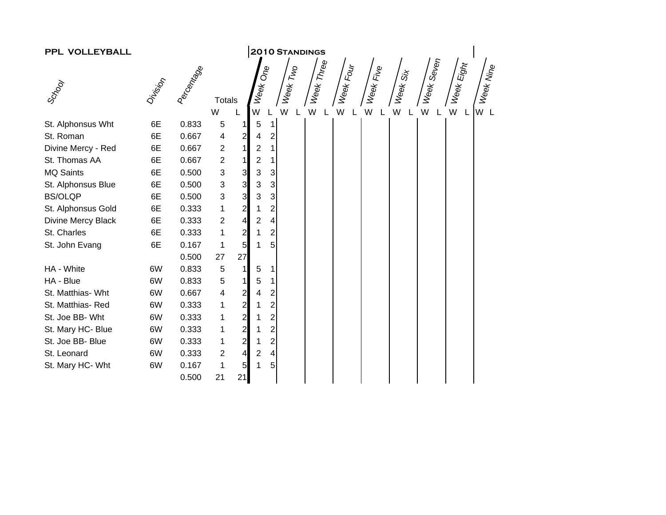| PPL VOLLEYBALL     |          |            |                           |                                       |                         |                         | <b>2010 STANDINGS</b> |            |           |             |                     |            |                                   |           |
|--------------------|----------|------------|---------------------------|---------------------------------------|-------------------------|-------------------------|-----------------------|------------|-----------|-------------|---------------------|------------|-----------------------------------|-----------|
|                    |          |            |                           |                                       |                         |                         |                       | Week Three |           |             |                     | Week Seven | $\leq W_{\Theta\mathsf{R}}$ Eight |           |
| Scrool             | Division | Percentage |                           |                                       | Week One                |                         | Week Two              |            | Week Four | : Week Five | Week <sub>Six</sub> |            |                                   | Week Nine |
|                    |          |            | <b>Totals</b><br>W        |                                       | W                       |                         | W                     | W          | W         | W           | W                   | W          |                                   | W L       |
| St. Alphonsus Wht  | 6E       | 0.833      | 5                         | 1                                     | 5                       | 1                       |                       | L          |           |             |                     |            |                                   |           |
| St. Roman          | 6E       | 0.667      | 4                         | $\mathbf{z}$                          | 4                       | $\boldsymbol{2}$        |                       |            |           |             |                     |            |                                   |           |
| Divine Mercy - Red | 6E       | 0.667      | $\overline{c}$            | $\mathbf{1}$                          | $\overline{2}$          | 1                       |                       |            |           |             |                     |            |                                   |           |
| St. Thomas AA      | 6E       | 0.667      | $\boldsymbol{2}$          | $\mathbf{1}$                          | $\overline{\mathbf{c}}$ | 1                       |                       |            |           |             |                     |            |                                   |           |
| <b>MQ Saints</b>   | 6E       | 0.500      | $\sqrt{3}$                |                                       | 3                       | 3                       |                       |            |           |             |                     |            |                                   |           |
| St. Alphonsus Blue | 6E       | 0.500      | $\ensuremath{\mathsf{3}}$ | $\begin{array}{c} 3 \\ 3 \end{array}$ | 3                       | 3                       |                       |            |           |             |                     |            |                                   |           |
| <b>BS/OLQP</b>     | 6E       | 0.500      | $\ensuremath{\mathsf{3}}$ |                                       | 3                       | 3                       |                       |            |           |             |                     |            |                                   |           |
| St. Alphonsus Gold | 6E       | 0.333      | 1                         | $\overline{a}$                        | 1                       | 2                       |                       |            |           |             |                     |            |                                   |           |
| Divine Mercy Black | 6E       | 0.333      | $\overline{c}$            | $\overline{a}$                        | $\overline{\mathbf{c}}$ | 4                       |                       |            |           |             |                     |            |                                   |           |
| St. Charles        | 6E       | 0.333      | 1                         | $\mathbf{z}$                          | 1                       | $\overline{\mathbf{c}}$ |                       |            |           |             |                     |            |                                   |           |
| St. John Evang     | 6E       | 0.167      | 1                         | 5 <sub>l</sub>                        | 1                       | 5                       |                       |            |           |             |                     |            |                                   |           |
|                    |          | 0.500      | 27                        | 27                                    |                         |                         |                       |            |           |             |                     |            |                                   |           |
| HA - White         | 6W       | 0.833      | $\sqrt{5}$                | 1                                     | 5                       |                         |                       |            |           |             |                     |            |                                   |           |
| HA - Blue          | 6W       | 0.833      | 5                         | $\mathbf{1}$                          | 5                       |                         |                       |            |           |             |                     |            |                                   |           |
| St. Matthias- Wht  | 6W       | 0.667      | 4                         | $\mathbf{z}$                          | 4                       | 2                       |                       |            |           |             |                     |            |                                   |           |
| St. Matthias-Red   | 6W       | 0.333      | 1                         | $\overline{2}$                        | 1                       | $\overline{\mathbf{c}}$ |                       |            |           |             |                     |            |                                   |           |
| St. Joe BB- Wht    | 6W       | 0.333      | 1                         | $\mathbf{z}$                          | 1                       | 2                       |                       |            |           |             |                     |            |                                   |           |
| St. Mary HC- Blue  | 6W       | 0.333      | 1                         | $\mathbf{z}$                          | 1                       | $\overline{\mathbf{c}}$ |                       |            |           |             |                     |            |                                   |           |
| St. Joe BB- Blue   | 6W       | 0.333      | 1                         | $\mathbf{z}$                          | 1                       | 2                       |                       |            |           |             |                     |            |                                   |           |
| St. Leonard        | 6W       | 0.333      | $\overline{2}$            | $\overline{4}$                        | $\overline{c}$          | 4                       |                       |            |           |             |                     |            |                                   |           |
| St. Mary HC- Wht   | 6W       | 0.167      | 1                         | 5                                     | 1                       | 5                       |                       |            |           |             |                     |            |                                   |           |
|                    |          | 0.500      | 21                        | 21                                    |                         |                         |                       |            |           |             |                     |            |                                   |           |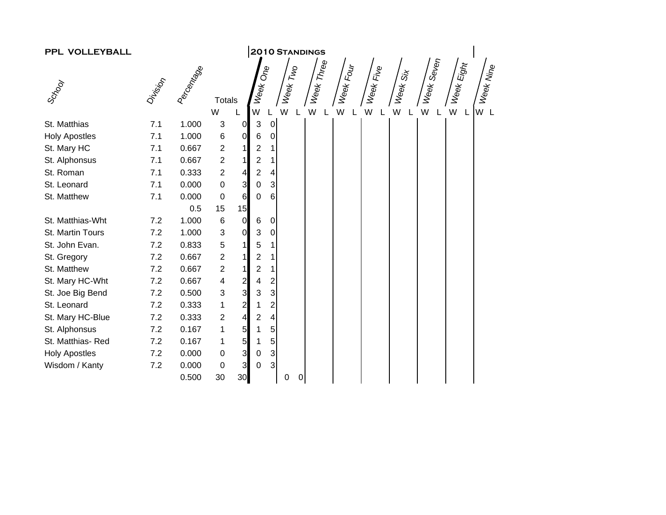| <b>2010 STANDINGS</b><br>PPL VOLLEYBALL |         |           |                           |                |                |                         |          |   |            |           |                       |          |            |                                    |           |
|-----------------------------------------|---------|-----------|---------------------------|----------------|----------------|-------------------------|----------|---|------------|-----------|-----------------------|----------|------------|------------------------------------|-----------|
|                                         |         |           |                           |                |                |                         |          |   |            |           |                       |          |            |                                    |           |
|                                         | Driving | Aecontage |                           |                | Week One       |                         | Week Two |   | Week Three | Week Four | Week Fi <sub>ve</sub> | Week Six | Week Seven | $\leq W_{\Theta k} E_{\theta h t}$ | Week Nine |
| Scrool                                  |         |           | <b>Totals</b>             |                |                |                         |          |   |            |           |                       |          |            |                                    |           |
|                                         |         |           | W                         |                | W              |                         | W        |   | W          | W         | W                     | W        | W          |                                    | W L       |
| St. Matthias                            | 7.1     | 1.000     | $\sqrt{3}$                | $\overline{0}$ | 3              | $\overline{O}$          |          |   |            |           |                       |          |            |                                    |           |
| <b>Holy Apostles</b>                    | 7.1     | 1.000     | $\,6$                     | $\overline{0}$ | 6              | $\overline{O}$          |          |   |            |           |                       |          |            |                                    |           |
| St. Mary HC                             | 7.1     | 0.667     | $\sqrt{2}$                |                | 2              | 1                       |          |   |            |           |                       |          |            |                                    |           |
| St. Alphonsus                           | 7.1     | 0.667     | $\sqrt{2}$                |                | 2              | 1                       |          |   |            |           |                       |          |            |                                    |           |
| St. Roman                               | 7.1     | 0.333     | $\boldsymbol{2}$          | $\overline{4}$ | $\overline{c}$ | $\overline{4}$          |          |   |            |           |                       |          |            |                                    |           |
| St. Leonard                             | 7.1     | 0.000     | $\mathbf 0$               | $\mathbf{3}$   | 0              | $\mathbf{3}$            |          |   |            |           |                       |          |            |                                    |           |
| St. Matthew                             | 7.1     | 0.000     | $\boldsymbol{0}$          | 6              | 0              | $\,6$                   |          |   |            |           |                       |          |            |                                    |           |
|                                         |         | 0.5       | 15                        | 15             |                |                         |          |   |            |           |                       |          |            |                                    |           |
| St. Matthias-Wht                        | 7.2     | 1.000     | $\,6$                     | $\overline{0}$ | 6              | $\pmb{0}$               |          |   |            |           |                       |          |            |                                    |           |
| St. Martin Tours                        | 7.2     | 1.000     | $\ensuremath{\mathsf{3}}$ | $\overline{0}$ | 3              | $\pmb{0}$               |          |   |            |           |                       |          |            |                                    |           |
| St. John Evan.                          | 7.2     | 0.833     | $\mathbf 5$               | 11             | 5              | 1                       |          |   |            |           |                       |          |            |                                    |           |
| St. Gregory                             | 7.2     | 0.667     | $\boldsymbol{2}$          |                | 2              | 1                       |          |   |            |           |                       |          |            |                                    |           |
| St. Matthew                             | 7.2     | 0.667     | $\overline{c}$            | 11             | 2              | $\mathbf 1$             |          |   |            |           |                       |          |            |                                    |           |
| St. Mary HC-Wht                         | 7.2     | 0.667     | 4                         | $\overline{2}$ | 4              | $\overline{c}$          |          |   |            |           |                       |          |            |                                    |           |
| St. Joe Big Bend                        | 7.2     | 0.500     | $\sqrt{3}$                | $\overline{3}$ | 3              | $\mathbf{3}$            |          |   |            |           |                       |          |            |                                    |           |
| St. Leonard                             | 7.2     | 0.333     | $\mathbf{1}$              | $\mathbf{2}$   |                | 2                       |          |   |            |           |                       |          |            |                                    |           |
| St. Mary HC-Blue                        | 7.2     | 0.333     | $\boldsymbol{2}$          | $\overline{4}$ | 2              | $\overline{\mathbf{4}}$ |          |   |            |           |                       |          |            |                                    |           |
| St. Alphonsus                           | 7.2     | 0.167     | $\mathbf{1}$              | 5 <sub>l</sub> |                | 5                       |          |   |            |           |                       |          |            |                                    |           |
| St. Matthias-Red                        | 7.2     | 0.167     | $\mathbf 1$               | 5              |                | 5 <sup>1</sup>          |          |   |            |           |                       |          |            |                                    |           |
| <b>Holy Apostles</b>                    | 7.2     | 0.000     | $\pmb{0}$                 | $\mathbf{3}$   | 0              | $\mathbf{3}$            |          |   |            |           |                       |          |            |                                    |           |
| Wisdom / Kanty                          | 7.2     | 0.000     | $\pmb{0}$                 | $\overline{3}$ | 0              | $\mathbf{3}$            |          |   |            |           |                       |          |            |                                    |           |
|                                         |         | 0.500     | 30                        | 30             |                |                         | 0        | 0 |            |           |                       |          |            |                                    |           |